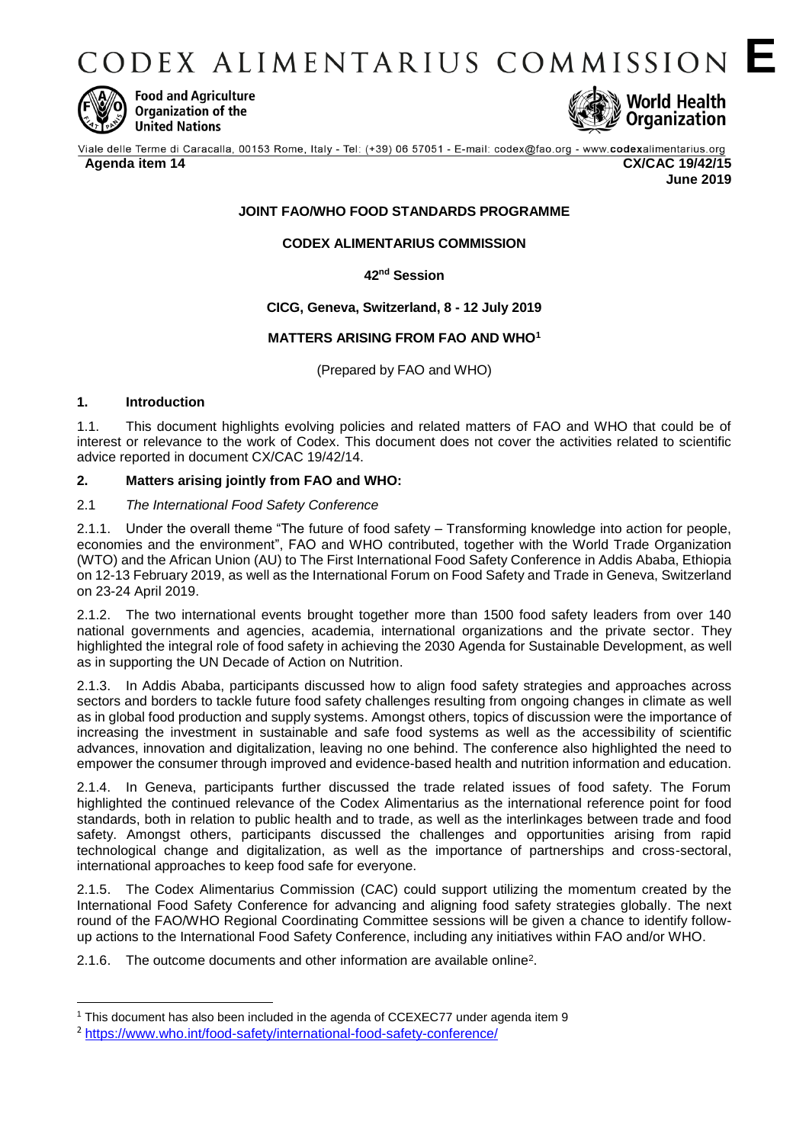CODEX ALIMENTARIUS COMMISSION E



**Food and Agriculture** Organization of the **United Nations** 



#### **Agenda item 14 CX/CAC 19/42/15**

**June 2019**

### **JOINT FAO/WHO FOOD STANDARDS PROGRAMME**

### **CODEX ALIMENTARIUS COMMISSION**

**42nd Session**

### **CICG, Geneva, Switzerland, 8 - 12 July 2019**

### **MATTERS ARISING FROM FAO AND WHO<sup>1</sup>**

(Prepared by FAO and WHO)

## **1. Introduction**

1

1.1. This document highlights evolving policies and related matters of FAO and WHO that could be of interest or relevance to the work of Codex. This document does not cover the activities related to scientific advice reported in document CX/CAC 19/42/14.

### **2. Matters arising jointly from FAO and WHO:**

### 2.1 *The International Food Safety Conference*

2.1.1. Under the overall theme "The future of food safety – Transforming knowledge into action for people, economies and the environment", FAO and WHO contributed, together with the World Trade Organization (WTO) and the African Union (AU) to The First International Food Safety Conference in Addis Ababa, Ethiopia on 12-13 February 2019, as well as the International Forum on Food Safety and Trade in Geneva, Switzerland on 23-24 April 2019.

2.1.2. The two international events brought together more than 1500 food safety leaders from over 140 national governments and agencies, academia, international organizations and the private sector. They highlighted the integral role of food safety in achieving the 2030 Agenda for Sustainable Development, as well as in supporting the UN Decade of Action on Nutrition.

2.1.3. In Addis Ababa, participants discussed how to align food safety strategies and approaches across sectors and borders to tackle future food safety challenges resulting from ongoing changes in climate as well as in global food production and supply systems. Amongst others, topics of discussion were the importance of increasing the investment in sustainable and safe food systems as well as the accessibility of scientific advances, innovation and digitalization, leaving no one behind. The conference also highlighted the need to empower the consumer through improved and evidence-based health and nutrition information and education.

2.1.4. In Geneva, participants further discussed the trade related issues of food safety. The Forum highlighted the continued relevance of the Codex Alimentarius as the international reference point for food standards, both in relation to public health and to trade, as well as the interlinkages between trade and food safety. Amongst others, participants discussed the challenges and opportunities arising from rapid technological change and digitalization, as well as the importance of partnerships and cross-sectoral, international approaches to keep food safe for everyone.

2.1.5. The Codex Alimentarius Commission (CAC) could support utilizing the momentum created by the International Food Safety Conference for advancing and aligning food safety strategies globally. The next round of the FAO/WHO Regional Coordinating Committee sessions will be given a chance to identify followup actions to the International Food Safety Conference, including any initiatives within FAO and/or WHO.

2.1.6. The outcome documents and other information are available online<sup>2</sup>.

<sup>1</sup> This document has also been included in the agenda of CCEXEC77 under agenda item 9

<sup>2</sup> <https://www.who.int/food-safety/international-food-safety-conference/>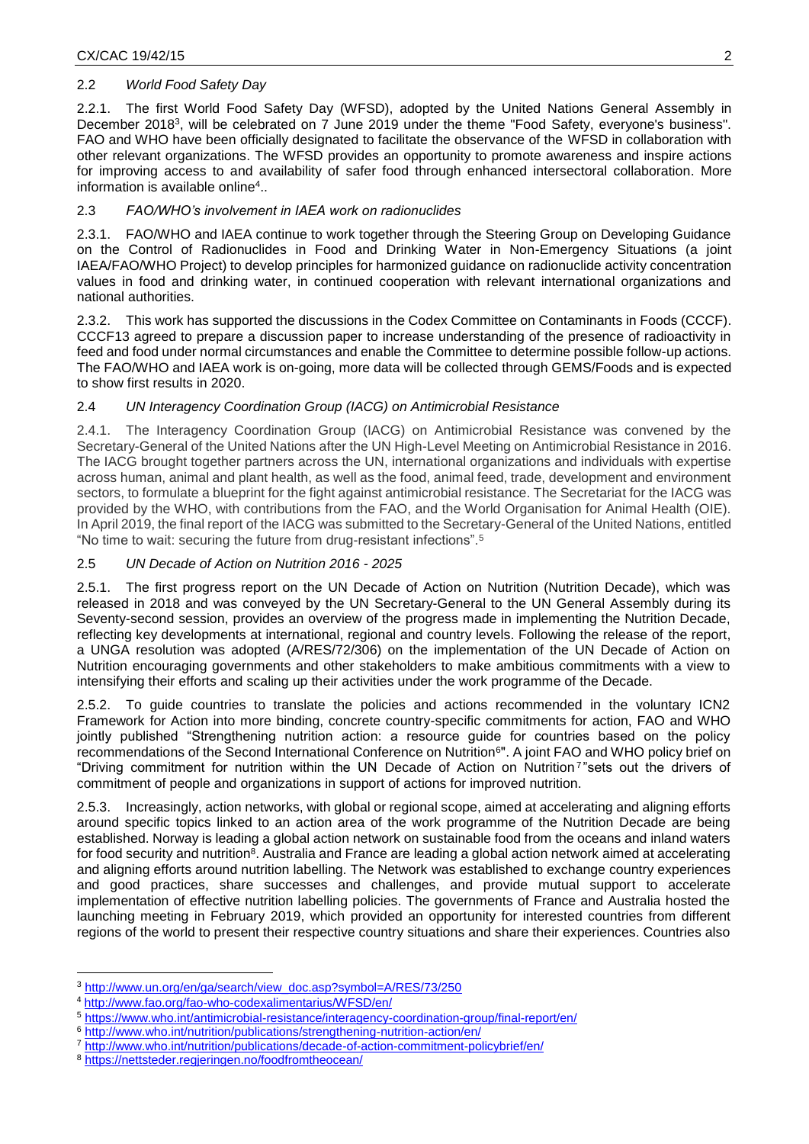## 2.2 *World Food Safety Day*

2.2.1. The first World Food Safety Day (WFSD), adopted by the United Nations General Assembly in December 2018<sup>3</sup>, will be celebrated on 7 June 2019 under the theme "Food Safety, everyone's business". FAO and WHO have been officially designated to facilitate the observance of the WFSD in collaboration with other relevant organizations. The WFSD provides an opportunity to promote awareness and inspire actions for improving access to and availability of safer food through enhanced intersectoral collaboration. More information is available online<sup>4</sup>..

## 2.3 *FAO/WHO's involvement in IAEA work on radionuclides*

2.3.1. FAO/WHO and IAEA continue to work together through the Steering Group on Developing Guidance on the Control of Radionuclides in Food and Drinking Water in Non-Emergency Situations (a joint IAEA/FAO/WHO Project) to develop principles for harmonized guidance on radionuclide activity concentration values in food and drinking water, in continued cooperation with relevant international organizations and national authorities.

2.3.2. This work has supported the discussions in the Codex Committee on Contaminants in Foods (CCCF). CCCF13 agreed to prepare a discussion paper to increase understanding of the presence of radioactivity in feed and food under normal circumstances and enable the Committee to determine possible follow-up actions. The FAO/WHO and IAEA work is on-going, more data will be collected through GEMS/Foods and is expected to show first results in 2020.

# 2.4 *UN Interagency Coordination Group (IACG) on Antimicrobial Resistance*

2.4.1. The Interagency Coordination Group (IACG) on Antimicrobial Resistance was convened by the Secretary-General of the United Nations after the UN High-Level Meeting on Antimicrobial Resistance in 2016. The IACG brought together partners across the UN, international organizations and individuals with expertise across human, animal and plant health, as well as the food, animal feed, trade, development and environment sectors, to formulate a blueprint for the fight against antimicrobial resistance. The Secretariat for the IACG was provided by the WHO, with contributions from the FAO, and the World Organisation for Animal Health (OIE). In April 2019, the final report of the IACG was submitted to the Secretary-General of the United Nations, entitled "No time to wait: securing the future from drug-resistant infections".<sup>5</sup>

## 2.5 *UN Decade of Action on Nutrition 2016 - 2025*

2.5.1. The first progress report on the UN Decade of Action on Nutrition (Nutrition Decade), which was released in 2018 and was conveyed by the UN Secretary-General to the UN General Assembly during its Seventy-second session, provides an overview of the progress made in implementing the Nutrition Decade, reflecting key developments at international, regional and country levels. Following the release of the report, a UNGA resolution was adopted (A/RES/72/306) on the implementation of the UN Decade of Action on Nutrition encouraging governments and other stakeholders to make ambitious commitments with a view to intensifying their efforts and scaling up their activities under the work programme of the Decade.

2.5.2. To guide countries to translate the policies and actions recommended in the voluntary ICN2 Framework for Action into more binding, concrete country-specific commitments for action, FAO and WHO jointly published "Strengthening nutrition action: a resource guide for countries based on the policy recommendations of the Second International Conference on Nutrition<sup>6</sup>". A joint FAO and WHO policy brief on "Driving commitment for nutrition within the UN Decade of Action on Nutrition<sup>7</sup>"sets out the drivers of commitment of people and organizations in support of actions for improved nutrition.

2.5.3. Increasingly, action networks, with global or regional scope, aimed at accelerating and aligning efforts around specific topics linked to an action area of the work programme of the Nutrition Decade are being established. Norway is leading a global action network on sustainable food from the oceans and inland waters for food security and nutrition<sup>8</sup>. Australia and France are leading a global action network aimed at accelerating and aligning efforts around nutrition labelling. The Network was established to exchange country experiences and good practices, share successes and challenges, and provide mutual support to accelerate implementation of effective nutrition labelling policies. The governments of France and Australia hosted the launching meeting in February 2019, which provided an opportunity for interested countries from different regions of the world to present their respective country situations and share their experiences. Countries also

1

<sup>3</sup> [http://www.un.org/en/ga/search/view\\_doc.asp?symbol=A/RES/73/250](http://www.un.org/en/ga/search/view_doc.asp?symbol=A/RES/73/250)

<sup>4</sup> <http://www.fao.org/fao-who-codexalimentarius/WFSD/en/>

<sup>5</sup> <https://www.who.int/antimicrobial-resistance/interagency-coordination-group/final-report/en/>

<sup>6</sup> <http://www.who.int/nutrition/publications/strengthening-nutrition-action/en/>

<sup>7</sup> <http://www.who.int/nutrition/publications/decade-of-action-commitment-policybrief/en/>

<sup>8</sup> <https://nettsteder.regjeringen.no/foodfromtheocean/>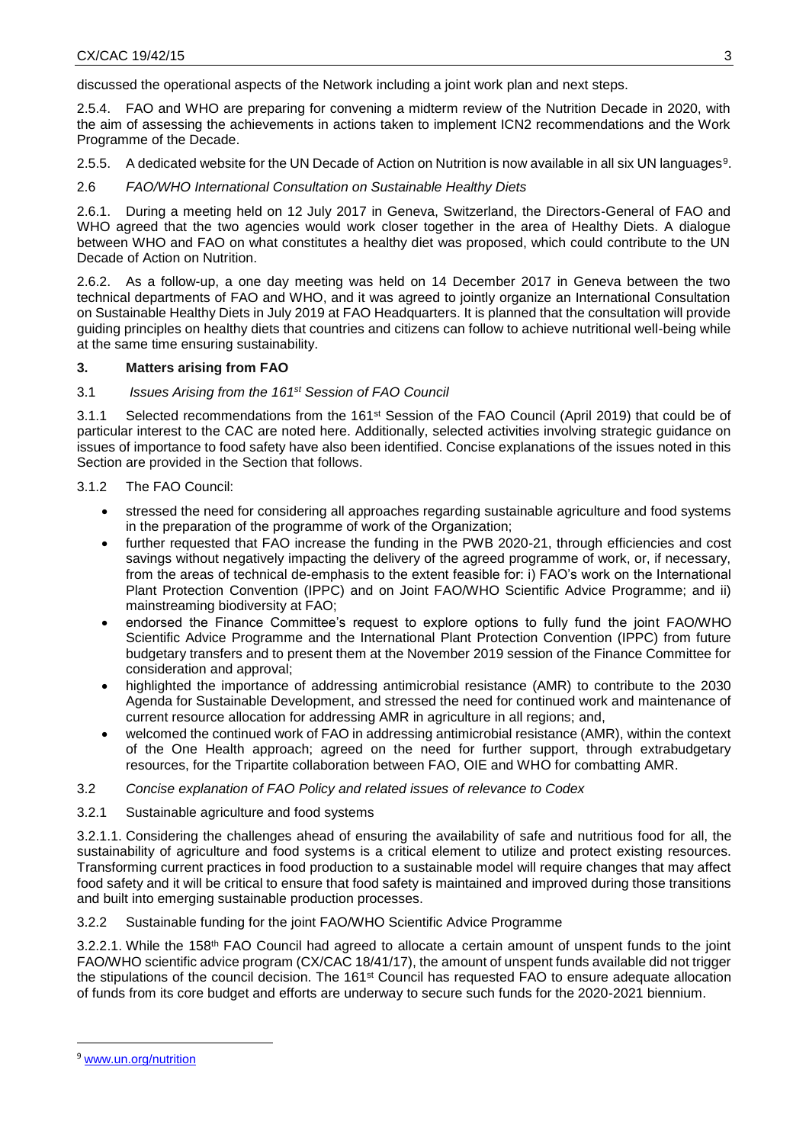discussed the operational aspects of the Network including a joint work plan and next steps.

2.5.4. FAO and WHO are preparing for convening a midterm review of the Nutrition Decade in 2020, with the aim of assessing the achievements in actions taken to implement ICN2 recommendations and the Work Programme of the Decade.

2.5.5. A dedicated website for the UN Decade of Action on Nutrition is now available in all six UN languages<sup>9</sup>.

2.6 *FAO/WHO International Consultation on Sustainable Healthy Diets*

2.6.1. During a meeting held on 12 July 2017 in Geneva, Switzerland, the Directors-General of FAO and WHO agreed that the two agencies would work closer together in the area of Healthy Diets. A dialogue between WHO and FAO on what constitutes a healthy diet was proposed, which could contribute to the UN Decade of Action on Nutrition.

2.6.2. As a follow-up, a one day meeting was held on 14 December 2017 in Geneva between the two technical departments of FAO and WHO, and it was agreed to jointly organize an International Consultation on Sustainable Healthy Diets in July 2019 at FAO Headquarters. It is planned that the consultation will provide guiding principles on healthy diets that countries and citizens can follow to achieve nutritional well-being while at the same time ensuring sustainability.

### **3. Matters arising from FAO**

### 3.1 *Issues Arising from the 161st Session of FAO Council*

3.1.1 Selected recommendations from the 161st Session of the FAO Council (April 2019) that could be of particular interest to the CAC are noted here. Additionally, selected activities involving strategic guidance on issues of importance to food safety have also been identified. Concise explanations of the issues noted in this Section are provided in the Section that follows.

- 3.1.2 The FAO Council:
	- stressed the need for considering all approaches regarding sustainable agriculture and food systems in the preparation of the programme of work of the Organization;
	- further requested that FAO increase the funding in the PWB 2020-21, through efficiencies and cost savings without negatively impacting the delivery of the agreed programme of work, or, if necessary, from the areas of technical de-emphasis to the extent feasible for: i) FAO's work on the International Plant Protection Convention (IPPC) and on Joint FAO/WHO Scientific Advice Programme; and ii) mainstreaming biodiversity at FAO;
	- endorsed the Finance Committee's request to explore options to fully fund the joint FAO/WHO Scientific Advice Programme and the International Plant Protection Convention (IPPC) from future budgetary transfers and to present them at the November 2019 session of the Finance Committee for consideration and approval;
	- highlighted the importance of addressing antimicrobial resistance (AMR) to contribute to the 2030 Agenda for Sustainable Development, and stressed the need for continued work and maintenance of current resource allocation for addressing AMR in agriculture in all regions; and,
	- welcomed the continued work of FAO in addressing antimicrobial resistance (AMR), within the context of the One Health approach; agreed on the need for further support, through extrabudgetary resources, for the Tripartite collaboration between FAO, OIE and WHO for combatting AMR.

#### 3.2 *Concise explanation of FAO Policy and related issues of relevance to Codex*

3.2.1 Sustainable agriculture and food systems

3.2.1.1. Considering the challenges ahead of ensuring the availability of safe and nutritious food for all, the sustainability of agriculture and food systems is a critical element to utilize and protect existing resources. Transforming current practices in food production to a sustainable model will require changes that may affect food safety and it will be critical to ensure that food safety is maintained and improved during those transitions and built into emerging sustainable production processes.

#### 3.2.2 Sustainable funding for the joint FAO/WHO Scientific Advice Programme

3.2.2.1. While the 158<sup>th</sup> FAO Council had agreed to allocate a certain amount of unspent funds to the joint FAO/WHO scientific advice program (CX/CAC 18/41/17), the amount of unspent funds available did not trigger the stipulations of the council decision. The 161st Council has requested FAO to ensure adequate allocation of funds from its core budget and efforts are underway to secure such funds for the 2020-2021 biennium.

**.** 

<sup>9</sup> [www.un.org/nutrition](http://www.un.org/nutrition)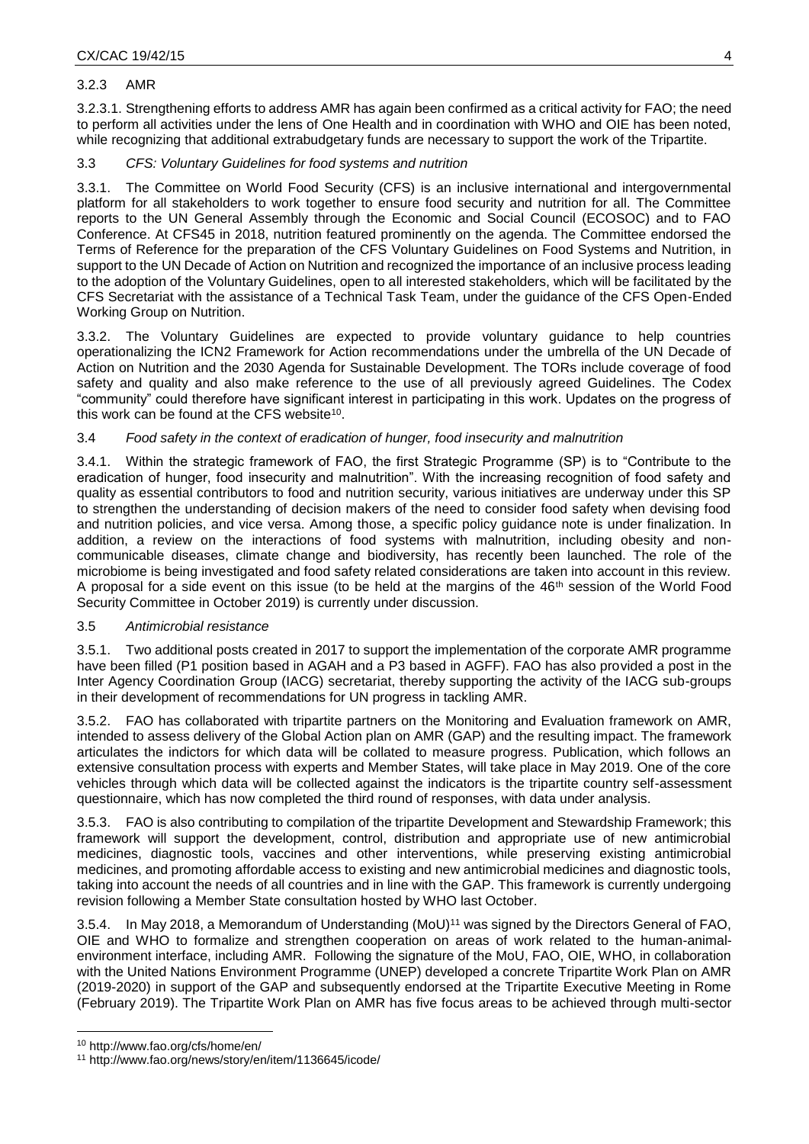### 3.2.3 AMR

3.2.3.1. Strengthening efforts to address AMR has again been confirmed as a critical activity for FAO; the need to perform all activities under the lens of One Health and in coordination with WHO and OIE has been noted, while recognizing that additional extrabudgetary funds are necessary to support the work of the Tripartite.

### 3.3 *CFS: Voluntary Guidelines for food systems and nutrition*

3.3.1. The Committee on World Food Security (CFS) is an inclusive international and intergovernmental platform for all stakeholders to work together to ensure food security and nutrition for all. The Committee reports to the UN General Assembly through the Economic and Social Council (ECOSOC) and to FAO Conference. At CFS45 in 2018, nutrition featured prominently on the agenda. The Committee endorsed the Terms of Reference for the preparation of the CFS Voluntary Guidelines on Food Systems and Nutrition, in support to the UN Decade of Action on Nutrition and recognized the importance of an inclusive process leading to the adoption of the Voluntary Guidelines, open to all interested stakeholders, which will be facilitated by the CFS Secretariat with the assistance of a Technical Task Team, under the guidance of the CFS Open-Ended Working Group on Nutrition.

3.3.2. The Voluntary Guidelines are expected to provide voluntary guidance to help countries operationalizing the ICN2 Framework for Action recommendations under the umbrella of the UN Decade of Action on Nutrition and the 2030 Agenda for Sustainable Development. The TORs include coverage of food safety and quality and also make reference to the use of all previously agreed Guidelines. The Codex "community" could therefore have significant interest in participating in this work. Updates on the progress of this work can be found at the CFS website<sup>10</sup>.

### 3.4 *Food safety in the context of eradication of hunger, food insecurity and malnutrition*

3.4.1. Within the strategic framework of FAO, the first Strategic Programme (SP) is to "Contribute to the eradication of hunger, food insecurity and malnutrition". With the increasing recognition of food safety and quality as essential contributors to food and nutrition security, various initiatives are underway under this SP to strengthen the understanding of decision makers of the need to consider food safety when devising food and nutrition policies, and vice versa. Among those, a specific policy guidance note is under finalization. In addition, a review on the interactions of food systems with malnutrition, including obesity and noncommunicable diseases, climate change and biodiversity, has recently been launched. The role of the microbiome is being investigated and food safety related considerations are taken into account in this review. A proposal for a side event on this issue (to be held at the margins of the 46<sup>th</sup> session of the World Food Security Committee in October 2019) is currently under discussion.

#### 3.5 *Antimicrobial resistance*

3.5.1. Two additional posts created in 2017 to support the implementation of the corporate AMR programme have been filled (P1 position based in AGAH and a P3 based in AGFF). FAO has also provided a post in the Inter Agency Coordination Group (IACG) secretariat, thereby supporting the activity of the IACG sub-groups in their development of recommendations for UN progress in tackling AMR.

3.5.2. FAO has collaborated with tripartite partners on the Monitoring and Evaluation framework on AMR, intended to assess delivery of the Global Action plan on AMR (GAP) and the resulting impact. The framework articulates the indictors for which data will be collated to measure progress. Publication, which follows an extensive consultation process with experts and Member States, will take place in May 2019. One of the core vehicles through which data will be collected against the indicators is the tripartite country self-assessment questionnaire, which has now completed the third round of responses, with data under analysis.

3.5.3. FAO is also contributing to compilation of the tripartite Development and Stewardship Framework; this framework will support the development, control, distribution and appropriate use of new antimicrobial medicines, diagnostic tools, vaccines and other interventions, while preserving existing antimicrobial medicines, and promoting affordable access to existing and new antimicrobial medicines and diagnostic tools, taking into account the needs of all countries and in line with the GAP. This framework is currently undergoing revision following a Member State consultation hosted by WHO last October.

3.5.4. In May 2018, a [Memorandum of Understanding](http://www.fao.org/news/story/en/item/1136645/icode/) (MoU)<sup>11</sup> was signed by the Directors General of FAO, OIE and WHO to formalize and strengthen cooperation on areas of work related to the human-animalenvironment interface, including AMR. Following the signature of the MoU, FAO, OIE, WHO, in collaboration with the United Nations Environment Programme (UNEP) developed a concrete Tripartite Work Plan on AMR (2019-2020) in support of the GAP and subsequently endorsed at the Tripartite Executive Meeting in Rome (February 2019). The Tripartite Work Plan on AMR has five focus areas to be achieved through multi-sector

**.** 

<sup>10</sup> <http://www.fao.org/cfs/home/en/>

<sup>11</sup> http://www.fao.org/news/story/en/item/1136645/icode/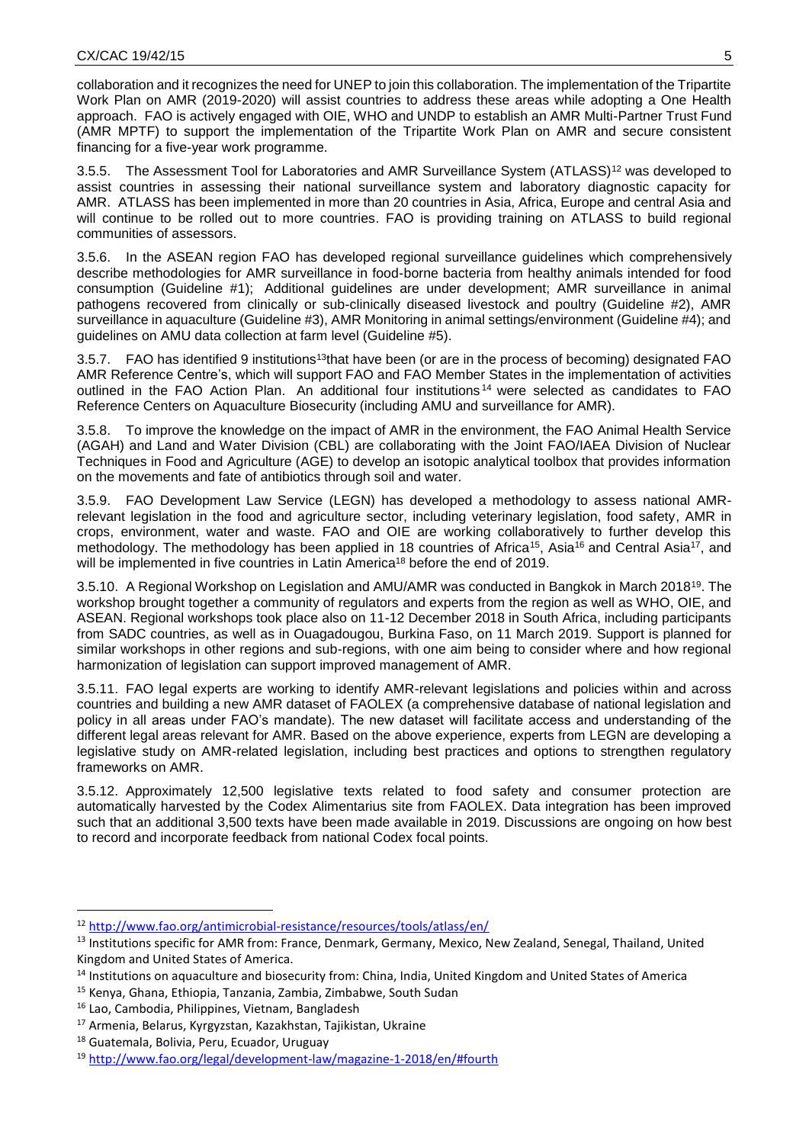collaboration and it recognizes the need for UNEP to join this collaboration. The implementation of the Tripartite Work Plan on AMR (2019-2020) will assist countries to address these areas while adopting a One Health approach. FAO is actively engaged with OIE, WHO and UNDP to establish an AMR Multi-Partner Trust Fund (AMR MPTF) to support the implementation of the Tripartite Work Plan on AMR and secure consistent financing for a five-year work programme.

3.5.5. The Assessment Tool for Laboratories and AMR Surveillance System (ATLASS)<sup>12</sup> was developed to assist countries in assessing their national surveillance system and laboratory diagnostic capacity for AMR. ATLASS has been implemented in more than 20 countries in Asia, Africa, Europe and central Asia and will continue to be rolled out to more countries. FAO is [providing training](http://www.fao.org/asiapacific/news/detail-events/en/c/1129839/) on ATLASS to build regional communities of assessors.

3.5.6. In the ASEAN region FAO has developed regional surveillance guidelines which comprehensively describe methodologies for AMR surveillance in food-borne bacteria from healthy animals intended for food consumption (Guideline #1); Additional guidelines are under development; AMR surveillance in animal pathogens recovered from clinically or sub-clinically diseased livestock and poultry (Guideline #2), AMR surveillance in aquaculture (Guideline #3), AMR Monitoring in animal settings/environment (Guideline #4); and guidelines on AMU data collection at farm level (Guideline #5).

3.5.7. FAO has identified 9 institutions<sup>13</sup>that have been (or are in the process of becoming) designated FAO AMR Reference Centre's, which will support FAO and FAO Member States in the implementation of activities outlined in the FAO Action Plan. An additional four institutions <sup>14</sup> were selected as candidates to FAO Reference Centers on Aquaculture Biosecurity (including AMU and surveillance for AMR).

3.5.8. To improve the knowledge on the impact of AMR in the environment, the FAO Animal Health Service (AGAH) and Land and Water Division (CBL) are collaborating with the Joint FAO/IAEA Division of Nuclear Techniques in Food and Agriculture (AGE) to develop an isotopic analytical toolbox that provides information on the movements and fate of antibiotics through soil and water.

3.5.9. FAO [Development Law Service](http://www.fao.org/legal/development-law/en/) (LEGN) has developed a methodology to assess national AMRrelevant legislation in the food and agriculture sector, including veterinary legislation, food safety, AMR in crops, environment, water and waste. FAO and OIE are working collaboratively to further develop this methodology. The methodology has been applied in 18 countries of Africa<sup>15</sup>, Asia<sup>16</sup> and Central Asia<sup>17</sup>, and will be implemented in five countries in Latin America<sup>18</sup> before the end of 2019.

3.5.10. [A Regional Workshop](http://fao.msgfocus.com/c/1fUkhRuo81gG1hxDl7Tlk6ux) on Legislation and AMU/AMR was conducted in Bangkok in March 2018<sup>19</sup>. The workshop brought together a community of regulators and experts from the region as well as WHO, OIE, and ASEAN. Regional workshops took place also on 11-12 December 2018 in South Africa, including participants from SADC countries, as well as in Ouagadougou, Burkina Faso, on 11 March 2019. Support is planned for similar workshops in other regions and sub-regions, with one aim being to consider where and how regional harmonization of legislation can support improved management of AMR.

3.5.11. FAO legal experts are working to identify AMR-relevant legislations and policies within and across countries and building a new AMR dataset of FAOLEX (a comprehensive database of national legislation and policy in all areas under FAO's mandate). The new dataset will facilitate access and understanding of the different legal areas relevant for AMR. Based on the above experience, experts from LEGN are developing a legislative study on AMR-related legislation, including best practices and options to strengthen regulatory frameworks on AMR.

3.5.12. Approximately 12,500 legislative texts related to food safety and consumer protection are automatically harvested by the Codex Alimentarius site from FAOLEX. Data integration has been improved such that an additional 3,500 texts have been made available in 2019. Discussions are ongoing on how best to record and incorporate feedback from national Codex focal points.

1

<sup>12</sup> <http://www.fao.org/antimicrobial-resistance/resources/tools/atlass/en/>

<sup>&</sup>lt;sup>13</sup> Institutions specific for AMR from: France, Denmark, Germany, Mexico, New Zealand, Senegal, Thailand, United Kingdom and United States of America.

<sup>14</sup> Institutions on aquaculture and biosecurity from: China, India, United Kingdom and United States of America

<sup>15</sup> Kenya, Ghana, Ethiopia, Tanzania, Zambia, Zimbabwe, South Sudan

<sup>16</sup> Lao, Cambodia, Philippines, Vietnam, Bangladesh

<sup>17</sup> Armenia, Belarus, Kyrgyzstan, Kazakhstan, Tajikistan, Ukraine

<sup>18</sup> Guatemala, Bolivia, Peru, Ecuador, Uruguay

<sup>19</sup> <http://www.fao.org/legal/development-law/magazine-1-2018/en/#fourth>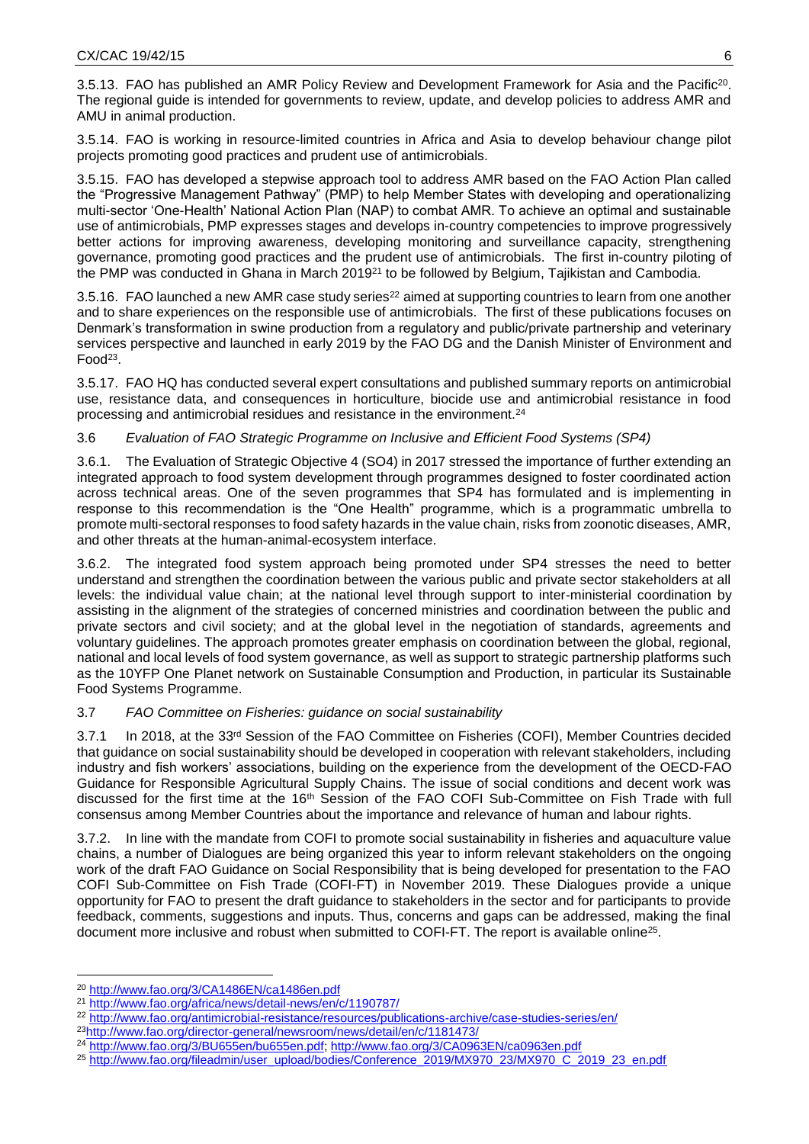3.5.13. FAO has published an [AMR Policy Review and Development Framework](http://www.fao.org/3/CA1486EN/ca1486en.pdf) for Asia and the Pacific<sup>20</sup>. The regional guide is intended for governments to review, update, and develop policies to address AMR and AMU in animal production.

3.5.14. FAO is working in resource-limited [countries in Africa and Asia](http://www.fao.org/antimicrobial-resistance/projects/ongoing/project-2/en/) to develop behaviour change pilot projects promoting good practices and prudent use of antimicrobials.

3.5.15. FAO has developed a stepwise approach tool to address AMR based on the FAO Action Plan called the "Progressive Management Pathway" (PMP) to help Member States with developing and operationalizing multi-sector 'One-Health' National Action Plan (NAP) to combat AMR. To achieve an optimal and sustainable use of antimicrobials, PMP expresses stages and develops in-country competencies to improve progressively better actions for improving awareness, developing monitoring and surveillance capacity, strengthening governance, promoting good practices and the prudent use of antimicrobials. The first in-country [piloting of](http://www.fao.org/africa/news/detail-news/en/c/1190787/)  [the PMP was conducted in Ghana](http://www.fao.org/africa/news/detail-news/en/c/1190787/) in March 2019<sup>21</sup> to be followed by Belgium, Tajikistan and Cambodia.

3.5.16. FAO launched a [new AMR case study series](http://www.fao.org/antimicrobial-resistance/resources/publications-archive/case-studies-series/en/)<sup>22</sup> aimed at supporting countries to learn from one another and to share experiences on the responsible use of antimicrobials. The first of these publications focuses on Denmark's transformation in swine production from a regulatory and public/private partnership and veterinary services perspective and launched in early 2019 by the FAO DG and the Danish Minister of Environment and Food $^{23}$ .

3.5.17. FAO HQ has conducted several expert consultations and published summary reports on antimicrobial use, resistance data, and consequences in horticulture, biocide use and antimicrobial resistance in food processing and antimicrobial residues and resistance in the environment.<sup>24</sup>

## 3.6 *Evaluation of FAO Strategic Programme on Inclusive and Efficient Food Systems (SP4)*

3.6.1. The Evaluation of Strategic Objective 4 (SO4) in 2017 stressed the importance of further extending an integrated approach to food system development through programmes designed to foster coordinated action across technical areas. One of the seven programmes that SP4 has formulated and is implementing in response to this recommendation is the "One Health" programme, which is a programmatic umbrella to promote multi-sectoral responses to food safety hazards in the value chain, risks from zoonotic diseases, AMR, and other threats at the human-animal-ecosystem interface.

3.6.2. The integrated food system approach being promoted under SP4 stresses the need to better understand and strengthen the coordination between the various public and private sector stakeholders at all levels: the individual value chain; at the national level through support to inter-ministerial coordination by assisting in the alignment of the strategies of concerned ministries and coordination between the public and private sectors and civil society; and at the global level in the negotiation of standards, agreements and voluntary guidelines. The approach promotes greater emphasis on coordination between the global, regional, national and local levels of food system governance, as well as support to strategic partnership platforms such as the 10YFP One Planet network on Sustainable Consumption and Production, in particular its Sustainable Food Systems Programme.

## 3.7 *FAO Committee on Fisheries: guidance on social sustainability*

3.7.1 In 2018, at the 33<sup>rd</sup> Session of the FAO Committee on Fisheries (COFI), Member Countries decided that guidance on social sustainability should be developed in cooperation with relevant stakeholders, including industry and fish workers' associations, building on the experience from the development of the OECD-FAO Guidance for Responsible Agricultural Supply Chains. The issue of social conditions and decent work was discussed for the first time at the 16<sup>th</sup> Session of the FAO COFI Sub-Committee on Fish Trade with full consensus among Member Countries about the importance and relevance of human and labour rights.

3.7.2. In line with the mandate from COFI to promote social sustainability in fisheries and aquaculture value chains, a number of Dialogues are being organized this year to inform relevant stakeholders on the ongoing work of the draft FAO Guidance on Social Responsibility that is being developed for presentation to the FAO COFI Sub-Committee on Fish Trade (COFI-FT) in November 2019. These Dialogues provide a unique opportunity for FAO to present the draft guidance to stakeholders in the sector and for participants to provide feedback, comments, suggestions and inputs. Thus, concerns and gaps can be addressed, making the final document more inclusive and robust when submitted to COFI-FT. The report is available online<sup>25</sup>.

 $\overline{\phantom{a}}$ 

- <sup>23</sup><http://www.fao.org/director-general/newsroom/news/detail/en/c/1181473/>
- <sup>24</sup> [http://www.fao.org/3/BU655en/bu655en.pdf;](http://www.fao.org/3/BU655en/bu655en.pdf)<http://www.fao.org/3/CA0963EN/ca0963en.pdf>
- <sup>25</sup> [http://www.fao.org/fileadmin/user\\_upload/bodies/Conference\\_2019/MX970\\_23/MX970\\_C\\_2019\\_23\\_en.pdf](http://www.fao.org/fileadmin/user_upload/bodies/Conference_2019/MX970_23/MX970_C_2019_23_en.pdf)

<sup>20</sup> <http://www.fao.org/3/CA1486EN/ca1486en.pdf>

<sup>21</sup> <http://www.fao.org/africa/news/detail-news/en/c/1190787/>

<sup>22</sup> <http://www.fao.org/antimicrobial-resistance/resources/publications-archive/case-studies-series/en/>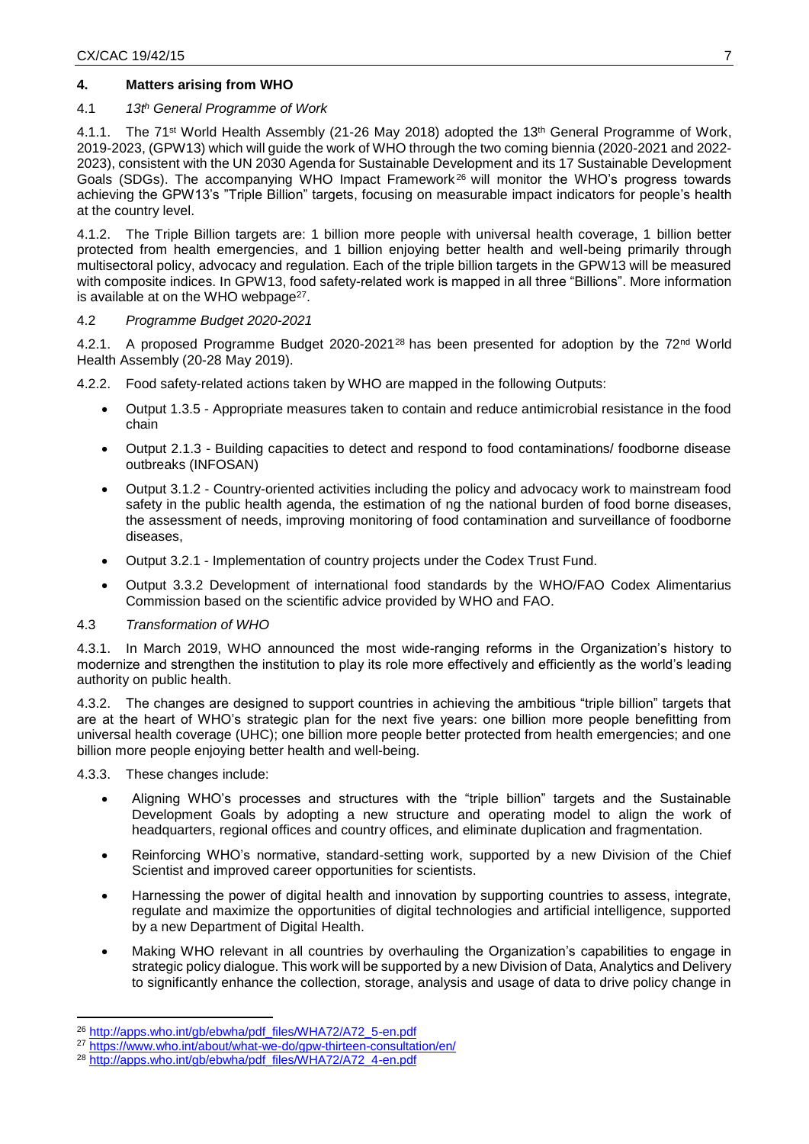## **4. Matters arising from WHO**

#### 4.1 *13t<sup>h</sup> General Programme of Work*

4.1.1. The 71<sup>st</sup> World Health Assembly (21-26 May 2018) adopted the 13<sup>th</sup> General Programme of Work, 2019-2023, (GPW13) which will guide the work of WHO through the two coming biennia (2020-2021 and 2022- 2023), consistent with the UN 2030 Agenda for Sustainable Development and its 17 Sustainable Development Goals (SDGs). The accompanying WHO Impact Framework<sup>26</sup> will monitor the WHO's progress towards achieving the GPW13's "Triple Billion" targets, focusing on measurable impact indicators for people's health at the country level.

4.1.2. The Triple Billion targets are: 1 billion more people with universal health coverage, 1 billion better protected from health emergencies, and 1 billion enjoying better health and well-being primarily through multisectoral policy, advocacy and regulation. Each of the triple billion targets in the GPW13 will be measured with composite indices. In GPW13, food safety-related work is mapped in all three "Billions". More information is available at on the WHO webpage<sup>27</sup>.

#### 4.2 *Programme Budget 2020-2021*

4.2.1. A proposed Programme Budget 2020-2021<sup>28</sup> has been presented for adoption by the 72<sup>nd</sup> World Health Assembly (20-28 May 2019).

4.2.2. Food safety-related actions taken by WHO are mapped in the following Outputs:

- Output 1.3.5 Appropriate measures taken to contain and reduce antimicrobial resistance in the food chain
- Output 2.1.3 Building capacities to detect and respond to food contaminations/ foodborne disease outbreaks (INFOSAN)
- Output 3.1.2 Country-oriented activities including the policy and advocacy work to mainstream food safety in the public health agenda, the estimation of ng the national burden of food borne diseases, the assessment of needs, improving monitoring of food contamination and surveillance of foodborne diseases,
- Output 3.2.1 Implementation of country projects under the Codex Trust Fund.
- Output 3.3.2 Development of international food standards by the WHO/FAO Codex Alimentarius Commission based on the scientific advice provided by WHO and FAO.

#### 4.3 *Transformation of WHO*

4.3.1. In March 2019, WHO announced the most wide-ranging reforms in the Organization's history to modernize and strengthen the institution to play its role more effectively and efficiently as the world's leading authority on public health.

4.3.2. The changes are designed to support countries in achieving the ambitious "triple billion" targets that are at the heart of WHO's strategic plan for the next five years: one billion more people benefitting from universal health coverage (UHC); one billion more people better protected from health emergencies; and one billion more people enjoying better health and well-being.

4.3.3. These changes include:

 $\overline{\phantom{a}}$ 

- Aligning WHO's processes and structures with the "triple billion" targets and the Sustainable Development Goals by adopting a new structure and operating model to align the work of headquarters, regional offices and country offices, and eliminate duplication and fragmentation.
- Reinforcing WHO's normative, standard-setting work, supported by a new Division of the Chief Scientist and improved career opportunities for scientists.
- Harnessing the power of digital health and innovation by supporting countries to assess, integrate, regulate and maximize the opportunities of digital technologies and artificial intelligence, supported by a new Department of Digital Health.
- Making WHO relevant in all countries by overhauling the Organization's capabilities to engage in strategic policy dialogue. This work will be supported by a new Division of Data, Analytics and Delivery to significantly enhance the collection, storage, analysis and usage of data to drive policy change in

<sup>26</sup> [http://apps.who.int/gb/ebwha/pdf\\_files/WHA72/A72\\_5-en.pdf](http://apps.who.int/gb/ebwha/pdf_files/WHA72/A72_5-en.pdf)

<sup>27</sup> <https://www.who.int/about/what-we-do/gpw-thirteen-consultation/en/>

<sup>&</sup>lt;sup>28</sup> [http://apps.who.int/gb/ebwha/pdf\\_files/WHA72/A72\\_4-en.pdf](http://apps.who.int/gb/ebwha/pdf_files/WHA72/A72_4-en.pdf)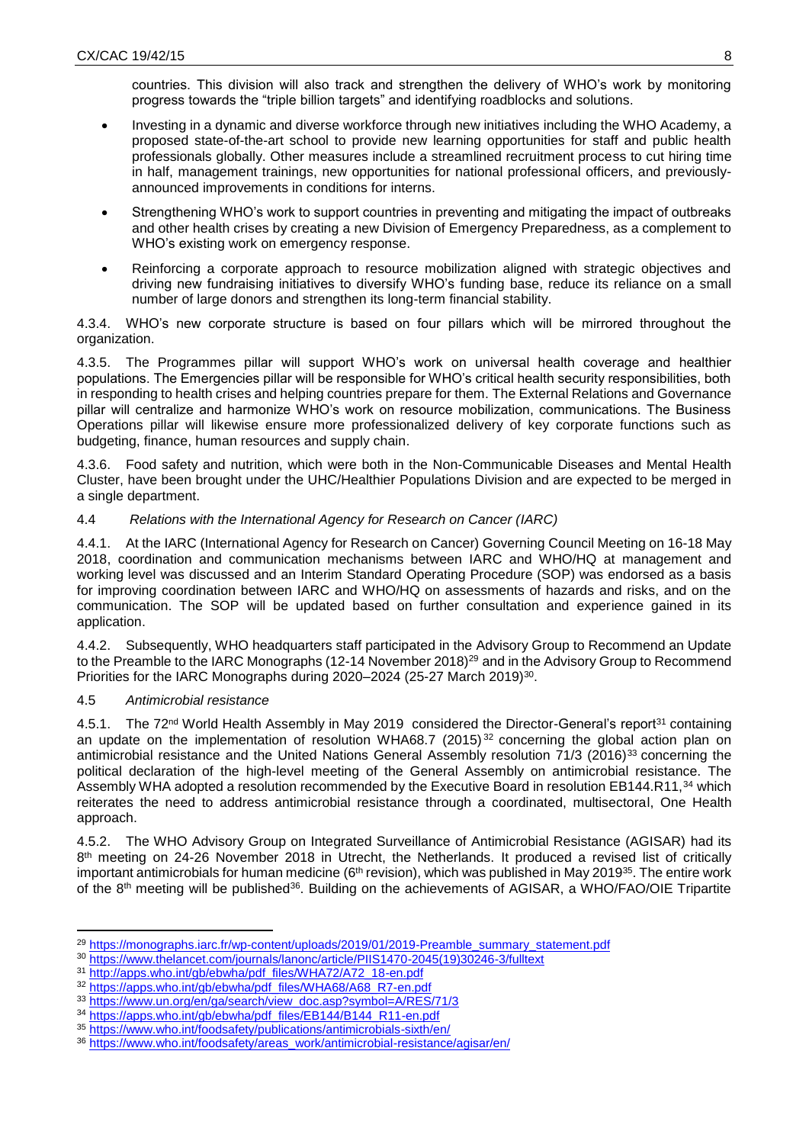countries. This division will also track and strengthen the delivery of WHO's work by monitoring progress towards the "triple billion targets" and identifying roadblocks and solutions.

- Investing in a dynamic and diverse workforce through new initiatives including the WHO Academy, a proposed state-of-the-art school to provide new learning opportunities for staff and public health professionals globally. Other measures include a streamlined recruitment process to cut hiring time in half, management trainings, new opportunities for national professional officers, and previouslyannounced improvements in conditions for interns.
- Strengthening WHO's work to support countries in preventing and mitigating the impact of outbreaks and other health crises by creating a new Division of Emergency Preparedness, as a complement to WHO's existing work on emergency response.
- Reinforcing a corporate approach to resource mobilization aligned with strategic objectives and driving new fundraising initiatives to diversify WHO's funding base, reduce its reliance on a small number of large donors and strengthen its long-term financial stability.

4.3.4. WHO's new corporate structure is based on four pillars which will be mirrored throughout the organization.

4.3.5. The Programmes pillar will support WHO's work on universal health coverage and healthier populations. The Emergencies pillar will be responsible for WHO's critical health security responsibilities, both in responding to health crises and helping countries prepare for them. The External Relations and Governance pillar will centralize and harmonize WHO's work on resource mobilization, communications. The Business Operations pillar will likewise ensure more professionalized delivery of key corporate functions such as budgeting, finance, human resources and supply chain.

4.3.6. Food safety and nutrition, which were both in the Non-Communicable Diseases and Mental Health Cluster, have been brought under the UHC/Healthier Populations Division and are expected to be merged in a single department.

## 4.4 *Relations with the International Agency for Research on Cancer (IARC)*

4.4.1. At the IARC (International Agency for Research on Cancer) Governing Council Meeting on 16-18 May 2018, coordination and communication mechanisms between IARC and WHO/HQ at management and working level was discussed and an Interim Standard Operating Procedure (SOP) was endorsed as a basis for improving coordination between IARC and WHO/HQ on assessments of hazards and risks, and on the communication. The SOP will be updated based on further consultation and experience gained in its application.

4.4.2. Subsequently, WHO headquarters staff participated in the Advisory Group to Recommend an Update to the Preamble to the IARC Monographs (12-14 November 2018)<sup>29</sup> and in the Advisory Group to Recommend Priorities for the IARC Monographs during 2020–2024 (25-27 March 2019)<sup>30</sup>.

## 4.5 *Antimicrobial resistance*

**.** 

4.5.1. The 72<sup>nd</sup> World Health Assembly in May 2019 considered the Director-General's report<sup>31</sup> containing an update on the implementation of resolution WHA68.7 (2015)<sup>32</sup> concerning the global action plan on antimicrobial resistance and the United Nations General Assembly resolution 71/3 (2016)<sup>33</sup> concerning the political declaration of the high-level meeting of the General Assembly on antimicrobial resistance. The Assembly WHA adopted a resolution recommended by the Executive Board in resolution EB144.R11,<sup>34</sup> which reiterates the need to address antimicrobial resistance through a coordinated, multisectoral, One Health approach.

4.5.2. The WHO Advisory Group on Integrated Surveillance of Antimicrobial Resistance (AGISAR) had its 8<sup>th</sup> meeting on 24-26 November 2018 in Utrecht, the Netherlands. It produced a revised list of critically important antimicrobials for human medicine (6<sup>th</sup> revision), which was published in May 2019<sup>35</sup>. The entire work of the 8<sup>th</sup> meeting will be published<sup>36</sup>. Building on the achievements of AGISAR, a WHO/FAO/OIE Tripartite

<sup>&</sup>lt;sup>29</sup> [https://monographs.iarc.fr/wp-content/uploads/2019/01/2019-Preamble\\_summary\\_statement.pdf](https://monographs.iarc.fr/wp-content/uploads/2019/01/2019-Preamble_summary_statement.pdf)

<sup>30</sup> [https://www.thelancet.com/journals/lanonc/article/PIIS1470-2045\(19\)30246-3/fulltext](https://www.thelancet.com/journals/lanonc/article/PIIS1470-2045(19)30246-3/fulltext)

<sup>&</sup>lt;sup>31</sup> [http://apps.who.int/gb/ebwha/pdf\\_files/WHA72/A72\\_18-en.pdf](http://apps.who.int/gb/ebwha/pdf_files/WHA72/A72_18-en.pdf)

<sup>&</sup>lt;sup>32</sup> [https://apps.who.int/gb/ebwha/pdf\\_files/WHA68/A68\\_R7-en.pdf](https://apps.who.int/gb/ebwha/pdf_files/WHA68/A68_R7-en.pdf)

<sup>33</sup> [https://www.un.org/en/ga/search/view\\_doc.asp?symbol=A/RES/71/3](https://www.un.org/en/ga/search/view_doc.asp?symbol=A/RES/71/3)

<sup>&</sup>lt;sup>34</sup> [https://apps.who.int/gb/ebwha/pdf\\_files/EB144/B144\\_R11-en.pdf](https://apps.who.int/gb/ebwha/pdf_files/EB144/B144_R11-en.pdf)

<sup>35</sup> <https://www.who.int/foodsafety/publications/antimicrobials-sixth/en/>

<sup>36</sup> [https://www.who.int/foodsafety/areas\\_work/antimicrobial-resistance/agisar/en/](https://www.who.int/foodsafety/areas_work/antimicrobial-resistance/agisar/en/)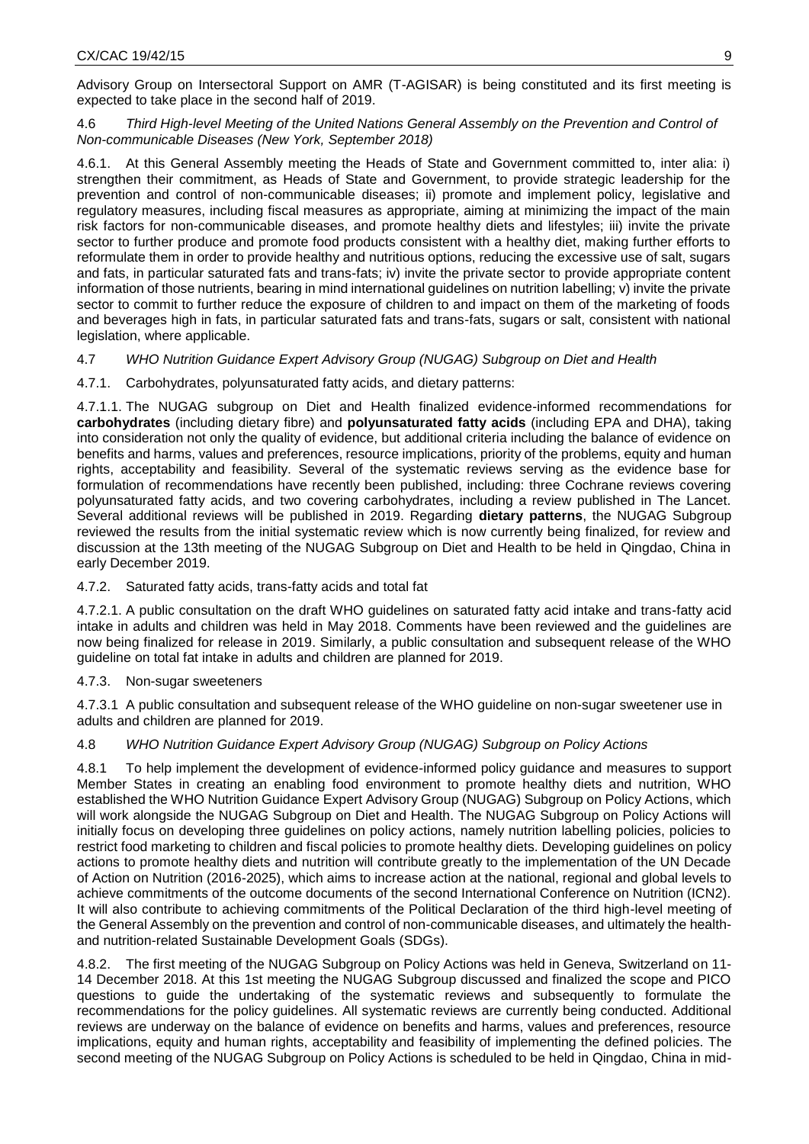Advisory Group on Intersectoral Support on AMR (T-AGISAR) is being constituted and its first meeting is expected to take place in the second half of 2019.

4.6 *Third High-level Meeting of the United Nations General Assembly on the Prevention and Control of Non-communicable Diseases (New York, September 2018)*

4.6.1. At this General Assembly meeting the Heads of State and Government committed to, inter alia: i) strengthen their commitment, as Heads of State and Government, to provide strategic leadership for the prevention and control of non-communicable diseases; ii) promote and implement policy, legislative and regulatory measures, including fiscal measures as appropriate, aiming at minimizing the impact of the main risk factors for non-communicable diseases, and promote healthy diets and lifestyles; iii) invite the private sector to further produce and promote food products consistent with a healthy diet, making further efforts to reformulate them in order to provide healthy and nutritious options, reducing the excessive use of salt, sugars and fats, in particular saturated fats and trans-fats; iv) invite the private sector to provide appropriate content information of those nutrients, bearing in mind international guidelines on nutrition labelling; v) invite the private sector to commit to further reduce the exposure of children to and impact on them of the marketing of foods and beverages high in fats, in particular saturated fats and trans-fats, sugars or salt, consistent with national legislation, where applicable.

### 4.7 *WHO Nutrition Guidance Expert Advisory Group (NUGAG) Subgroup on Diet and Health*

4.7.1. Carbohydrates, polyunsaturated fatty acids, and dietary patterns:

4.7.1.1. The NUGAG subgroup on Diet and Health finalized evidence-informed recommendations for **carbohydrates** (including dietary fibre) and **polyunsaturated fatty acids** (including EPA and DHA), taking into consideration not only the quality of evidence, but additional criteria including the balance of evidence on benefits and harms, values and preferences, resource implications, priority of the problems, equity and human rights, acceptability and feasibility. Several of the systematic reviews serving as the evidence base for formulation of recommendations have recently been published, including: three Cochrane reviews covering polyunsaturated fatty acids, and two covering carbohydrates, including a review published in The Lancet. Several additional reviews will be published in 2019. Regarding **dietary patterns**, the NUGAG Subgroup reviewed the results from the initial systematic review which is now currently being finalized, for review and discussion at the 13th meeting of the NUGAG Subgroup on Diet and Health to be held in Qingdao, China in early December 2019.

#### 4.7.2. Saturated fatty acids, trans-fatty acids and total fat

4.7.2.1. A public consultation on the draft WHO guidelines on saturated fatty acid intake and trans-fatty acid intake in adults and children was held in May 2018. Comments have been reviewed and the guidelines are now being finalized for release in 2019. Similarly, a public consultation and subsequent release of the WHO guideline on total fat intake in adults and children are planned for 2019.

#### 4.7.3. Non-sugar sweeteners

4.7.3.1 A public consultation and subsequent release of the WHO guideline on non-sugar sweetener use in adults and children are planned for 2019.

#### 4.8 *WHO Nutrition Guidance Expert Advisory Group (NUGAG) Subgroup on Policy Actions*

4.8.1 To help implement the development of evidence-informed policy guidance and measures to support Member States in creating an enabling food environment to promote healthy diets and nutrition, WHO established the WHO Nutrition Guidance Expert Advisory Group (NUGAG) Subgroup on Policy Actions, which will work alongside the NUGAG Subgroup on Diet and Health. The NUGAG Subgroup on Policy Actions will initially focus on developing three guidelines on policy actions, namely nutrition labelling policies, policies to restrict food marketing to children and fiscal policies to promote healthy diets. Developing guidelines on policy actions to promote healthy diets and nutrition will contribute greatly to the implementation of the UN Decade of Action on Nutrition (2016-2025), which aims to increase action at the national, regional and global levels to achieve commitments of the outcome documents of the second International Conference on Nutrition (ICN2). It will also contribute to achieving commitments of the Political Declaration of the third high-level meeting of the General Assembly on the prevention and control of non-communicable diseases, and ultimately the healthand nutrition-related Sustainable Development Goals (SDGs).

4.8.2. The first meeting of the NUGAG Subgroup on Policy Actions was held in Geneva, Switzerland on 11- 14 December 2018. At this 1st meeting the NUGAG Subgroup discussed and finalized the scope and PICO questions to guide the undertaking of the systematic reviews and subsequently to formulate the recommendations for the policy guidelines. All systematic reviews are currently being conducted. Additional reviews are underway on the balance of evidence on benefits and harms, values and preferences, resource implications, equity and human rights, acceptability and feasibility of implementing the defined policies. The second meeting of the NUGAG Subgroup on Policy Actions is scheduled to be held in Qingdao, China in mid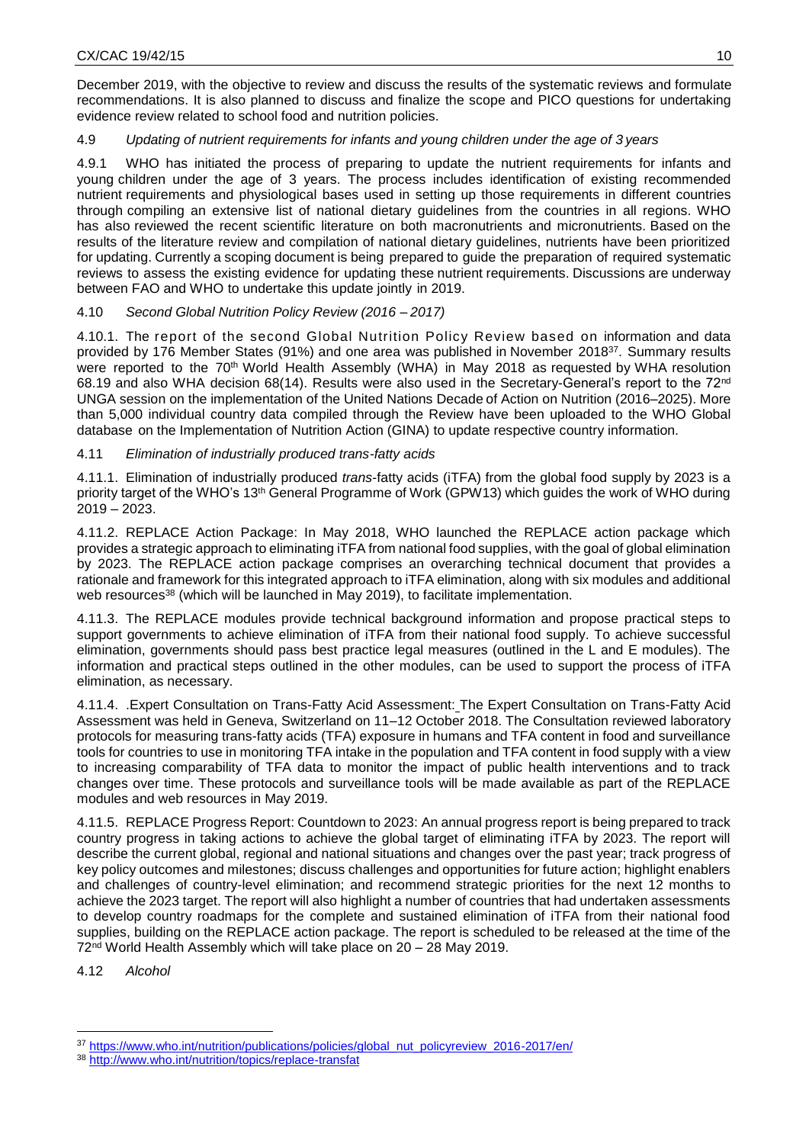December 2019, with the objective to review and discuss the results of the systematic reviews and formulate recommendations. It is also planned to discuss and finalize the scope and PICO questions for undertaking evidence review related to school food and nutrition policies.

## 4.9 *Updating of nutrient requirements for infants and young children under the age of 3 years*

4.9.1 WHO has initiated the process of preparing to update the nutrient requirements for infants and young children under the age of 3 years. The process includes identification of existing recommended nutrient requirements and physiological bases used in setting up those requirements in different countries through compiling an extensive list of national dietary guidelines from the countries in all regions. WHO has also reviewed the recent scientific literature on both macronutrients and micronutrients. Based on the results of the literature review and compilation of national dietary guidelines, nutrients have been prioritized for updating. Currently a scoping document is being prepared to guide the preparation of required systematic reviews to assess the existing evidence for updating these nutrient requirements. Discussions are underway between FAO and WHO to undertake this update jointly in 2019.

# 4.10 *Second Global Nutrition Policy Review (2016 – 2017)*

4.10.1. The report of the second Global Nutrition Policy Review based on information and data provided by 176 Member States (91%) and one area was published in November 2018<sup>37</sup>. Summary results were reported to the 70<sup>th</sup> World Health Assembly (WHA) in May 2018 as requested by WHA resolution 68.19 and also WHA decision 68(14). Results were also used in the Secretary-General's report to the 72nd UNGA session on the implementation of the United Nations Decade of Action on Nutrition (2016–2025). More than 5,000 individual country data compiled through the Review have been uploaded to the WHO Global database on the Implementation of Nutrition Action (GINA) to update respective country information.

# 4.11 *Elimination of industrially produced trans-fatty acids*

4.11.1. Elimination of industrially produced *trans*-fatty acids (iTFA) from the global food supply by 2023 is a priority target of the WHO's 13th General Programme of Work (GPW13) which guides the work of WHO during 2019 – 2023.

4.11.2. REPLACE Action Package: In May 2018, WHO launched the REPLACE action package which provides a strategic approach to eliminating iTFA from national food supplies, with the goal of global elimination by 2023. The REPLACE action package comprises an overarching technical document that provides a rationale and framework for this integrated approach to iTFA elimination, along with six modules and additional web resources<sup>38</sup> (which will be launched in May 2019), to facilitate implementation.

4.11.3. The REPLACE modules provide technical background information and propose practical steps to support governments to achieve elimination of iTFA from their national food supply. To achieve successful elimination, governments should pass best practice legal measures (outlined in the L and E modules). The information and practical steps outlined in the other modules, can be used to support the process of iTFA elimination, as necessary.

4.11.4. .Expert Consultation on Trans-Fatty Acid Assessment: The Expert Consultation on Trans-Fatty Acid Assessment was held in Geneva, Switzerland on 11–12 October 2018. The Consultation reviewed laboratory protocols for measuring trans-fatty acids (TFA) exposure in humans and TFA content in food and surveillance tools for countries to use in monitoring TFA intake in the population and TFA content in food supply with a view to increasing comparability of TFA data to monitor the impact of public health interventions and to track changes over time. These protocols and surveillance tools will be made available as part of the REPLACE modules and web resources in May 2019.

4.11.5. REPLACE Progress Report: Countdown to 2023: An annual progress report is being prepared to track country progress in taking actions to achieve the global target of eliminating iTFA by 2023. The report will describe the current global, regional and national situations and changes over the past year; track progress of key policy outcomes and milestones; discuss challenges and opportunities for future action; highlight enablers and challenges of country-level elimination; and recommend strategic priorities for the next 12 months to achieve the 2023 target. The report will also highlight a number of countries that had undertaken assessments to develop country roadmaps for the complete and sustained elimination of iTFA from their national food supplies, building on the REPLACE action package. The report is scheduled to be released at the time of the 72nd World Health Assembly which will take place on 20 – 28 May 2019.

4.12 *Alcohol* 

**<sup>.</sup>** <sup>37</sup> [https://www.who.int/nutrition/publications/policies/global\\_nut\\_policyreview\\_2016-2017/en/](https://www.who.int/nutrition/publications/policies/global_nut_policyreview_2016-2017/en/)

<sup>38</sup> <http://www.who.int/nutrition/topics/replace-transfat>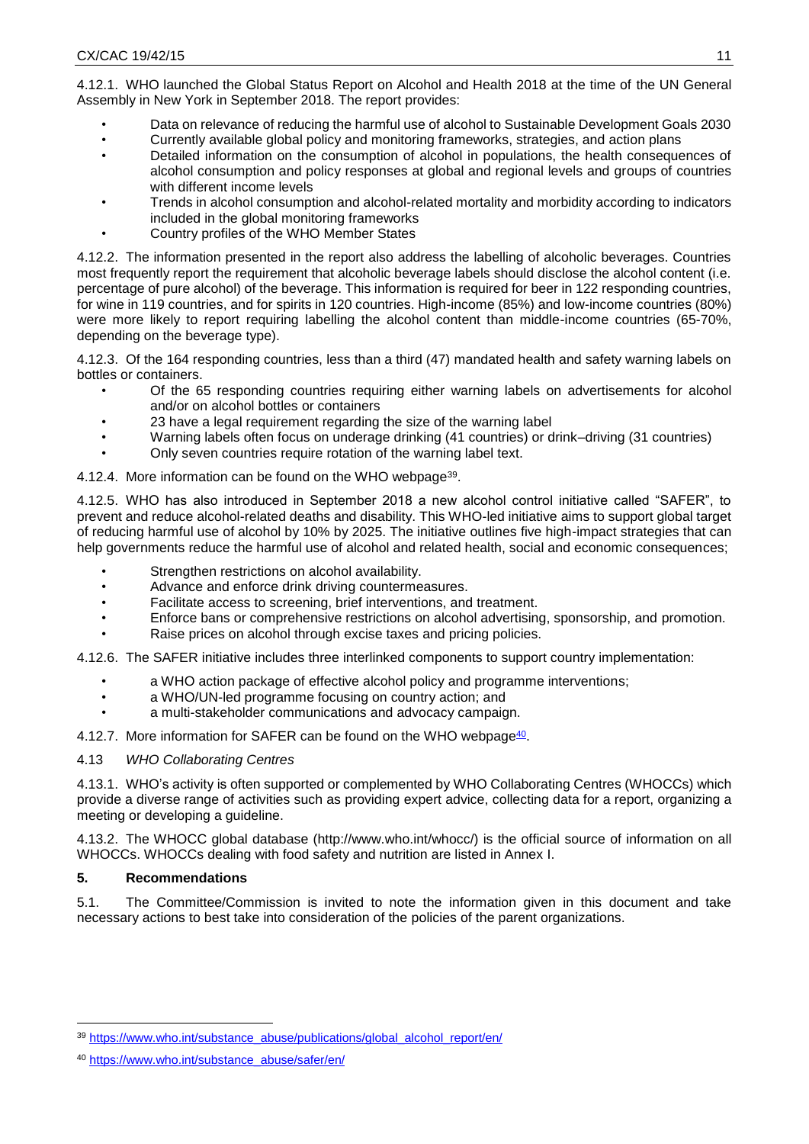4.12.1. WHO launched the Global Status Report on Alcohol and Health 2018 at the time of the UN General Assembly in New York in September 2018. The report provides:

- Data on relevance of reducing the harmful use of alcohol to Sustainable Development Goals 2030
- Currently available global policy and monitoring frameworks, strategies, and action plans
- Detailed information on the consumption of alcohol in populations, the health consequences of alcohol consumption and policy responses at global and regional levels and groups of countries with different income levels
- Trends in alcohol consumption and alcohol-related mortality and morbidity according to indicators included in the global monitoring frameworks
- Country profiles of the WHO Member States

4.12.2. The information presented in the report also address the labelling of alcoholic beverages. Countries most frequently report the requirement that alcoholic beverage labels should disclose the alcohol content (i.e. percentage of pure alcohol) of the beverage. This information is required for beer in 122 responding countries, for wine in 119 countries, and for spirits in 120 countries. High-income (85%) and low-income countries (80%) were more likely to report requiring labelling the alcohol content than middle-income countries (65-70%, depending on the beverage type).

4.12.3. Of the 164 responding countries, less than a third (47) mandated health and safety warning labels on bottles or containers.

- Of the 65 responding countries requiring either warning labels on advertisements for alcohol and/or on alcohol bottles or containers
- 23 have a legal requirement regarding the size of the warning label
- Warning labels often focus on underage drinking (41 countries) or drink–driving (31 countries)
- Only seven countries require rotation of the warning label text.

4.12.4. More information can be found on the WHO webpage<sup>39</sup>.

4.12.5. WHO has also introduced in September 2018 a new alcohol control initiative called "SAFER", to prevent and reduce alcohol-related deaths and disability. This WHO-led initiative aims to support global target of reducing harmful use of alcohol by 10% by 2025. The initiative outlines five high-impact strategies that can help governments reduce the harmful use of alcohol and related health, social and economic consequences;

- Strengthen restrictions on alcohol availability.
- Advance and enforce drink driving countermeasures.
- Facilitate access to screening, brief interventions, and treatment.
- Enforce bans or comprehensive restrictions on alcohol advertising, sponsorship, and promotion.
- Raise prices on alcohol through excise taxes and pricing policies.

4.12.6. The SAFER initiative includes three interlinked components to support country implementation:

- a WHO action package of effective alcohol policy and programme interventions;
- a WHO/UN-led programme focusing on country action; and
- a multi-stakeholder communications and advocacy campaign.
- 4.12.7. More information for SAFER can be found on the WHO webpage<sup>40</sup>.

## 4.13 *WHO Collaborating Centres*

4.13.1. WHO's activity is often supported or complemented by WHO Collaborating Centres (WHOCCs) which provide a diverse range of activities such as providing expert advice, collecting data for a report, organizing a meeting or developing a guideline.

4.13.2. The WHOCC global database (http://www.who.int/whocc/) is the official source of information on all WHOCCs. WHOCCs dealing with food safety and nutrition are listed in Annex I.

# **5. Recommendations**

**.** 

5.1. The Committee/Commission is invited to note the information given in this document and take necessary actions to best take into consideration of the policies of the parent organizations.

<sup>&</sup>lt;sup>39</sup> [https://www.who.int/substance\\_abuse/publications/global\\_alcohol\\_report/en/](https://www.who.int/substance_abuse/publications/global_alcohol_report/en/)

<sup>40</sup> [https://www.who.int/substance\\_abuse/safer/en/](https://www.who.int/substance_abuse/safer/en/)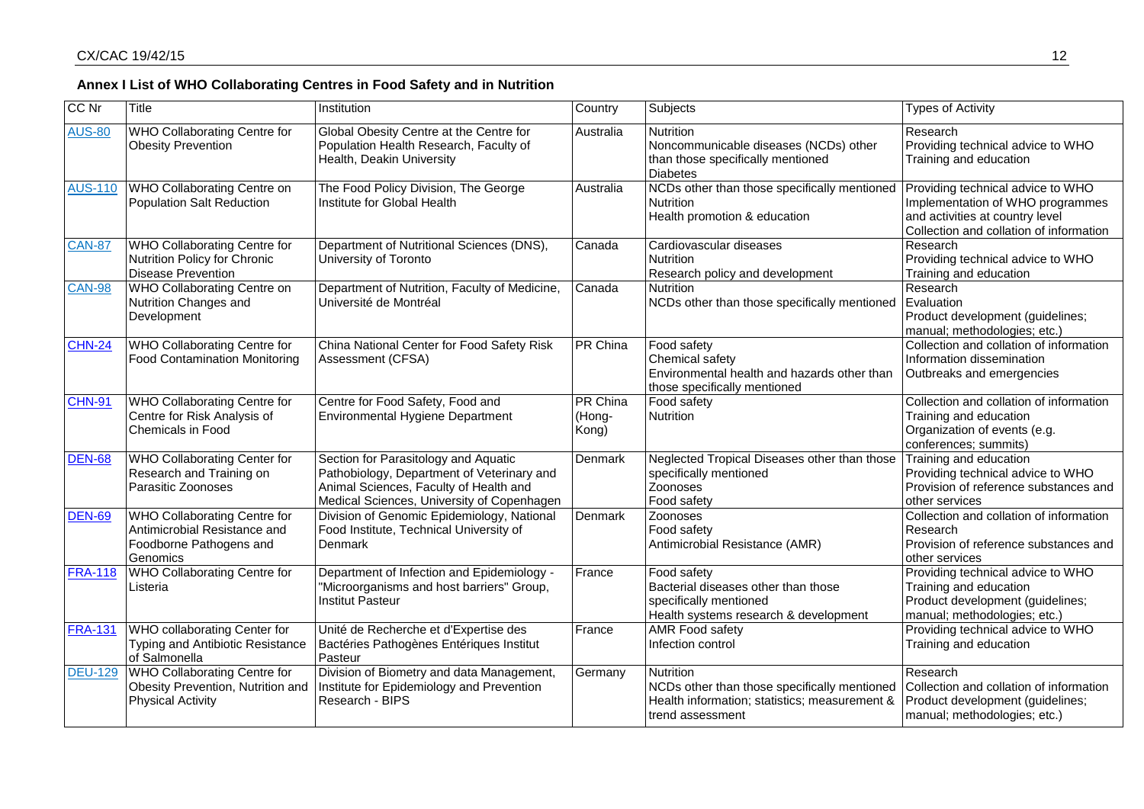| CC Nr          | <b>Title</b>                                                                                         | Institution                                                                                                                                                                | Country                            | Subjects                                                                                                                              | <b>Types of Activity</b>                                                                                                                            |
|----------------|------------------------------------------------------------------------------------------------------|----------------------------------------------------------------------------------------------------------------------------------------------------------------------------|------------------------------------|---------------------------------------------------------------------------------------------------------------------------------------|-----------------------------------------------------------------------------------------------------------------------------------------------------|
| <b>AUS-80</b>  | WHO Collaborating Centre for<br><b>Obesity Prevention</b>                                            | Global Obesity Centre at the Centre for<br>Population Health Research, Faculty of<br>Health, Deakin University                                                             | Australia                          | Nutrition<br>Noncommunicable diseases (NCDs) other<br>than those specifically mentioned<br><b>Diabetes</b>                            | Research<br>Providing technical advice to WHO<br>Training and education                                                                             |
| <b>AUS-110</b> | WHO Collaborating Centre on<br><b>Population Salt Reduction</b>                                      | The Food Policy Division, The George<br>Institute for Global Health                                                                                                        | Australia                          | NCDs other than those specifically mentioned<br><b>Nutrition</b><br>Health promotion & education                                      | Providing technical advice to WHO<br>Implementation of WHO programmes<br>and activities at country level<br>Collection and collation of information |
| <b>CAN-87</b>  | WHO Collaborating Centre for<br>Nutrition Policy for Chronic<br>Disease Prevention                   | Department of Nutritional Sciences (DNS),<br>University of Toronto                                                                                                         | Canada                             | Cardiovascular diseases<br><b>Nutrition</b><br>Research policy and development                                                        | Research<br>Providing technical advice to WHO<br>Training and education                                                                             |
| <b>CAN-98</b>  | <b>WHO Collaborating Centre on</b><br>Nutrition Changes and<br>Development                           | Department of Nutrition, Faculty of Medicine,<br>Université de Montréal                                                                                                    | Canada                             | <b>Nutrition</b><br>NCDs other than those specifically mentioned                                                                      | Research<br>Evaluation<br>Product development (guidelines;<br>manual; methodologies; etc.)                                                          |
| <b>CHN-24</b>  | WHO Collaborating Centre for<br><b>Food Contamination Monitoring</b>                                 | China National Center for Food Safety Risk<br>Assessment (CFSA)                                                                                                            | <b>PR</b> China                    | Food safety<br>Chemical safety<br>Environmental health and hazards other than<br>those specifically mentioned                         | Collection and collation of information<br>Information dissemination<br>Outbreaks and emergencies                                                   |
| <b>CHN-91</b>  | WHO Collaborating Centre for<br>Centre for Risk Analysis of<br>Chemicals in Food                     | Centre for Food Safety, Food and<br>Environmental Hygiene Department                                                                                                       | <b>PR China</b><br>(Hong-<br>Kong) | Food safety<br>Nutrition                                                                                                              | Collection and collation of information<br>Training and education<br>Organization of events (e.g.<br>conferences; summits)                          |
| <b>DEN-68</b>  | WHO Collaborating Center for<br>Research and Training on<br>Parasitic Zoonoses                       | Section for Parasitology and Aquatic<br>Pathobiology, Department of Veterinary and<br>Animal Sciences, Faculty of Health and<br>Medical Sciences, University of Copenhagen | Denmark                            | Neglected Tropical Diseases other than those<br>specifically mentioned<br>Zoonoses<br>Food safety                                     | Training and education<br>Providing technical advice to WHO<br>Provision of reference substances and<br>other services                              |
| <b>DEN-69</b>  | WHO Collaborating Centre for<br>Antimicrobial Resistance and<br>Foodborne Pathogens and<br>Genomics  | Division of Genomic Epidemiology, National<br>Food Institute, Technical University of<br>Denmark                                                                           | Denmark                            | Zoonoses<br>Food safety<br>Antimicrobial Resistance (AMR)                                                                             | Collection and collation of information<br>Research<br>Provision of reference substances and<br>other services                                      |
| <b>FRA-118</b> | <b>WHO Collaborating Centre for</b><br>Listeria                                                      | Department of Infection and Epidemiology -<br>"Microorganisms and host barriers" Group,<br><b>Institut Pasteur</b>                                                         | France                             | Food safety<br>Bacterial diseases other than those<br>specifically mentioned<br>Health systems research & development                 | Providing technical advice to WHO<br>Training and education<br>Product development (guidelines;<br>manual; methodologies; etc.)                     |
| <b>FRA-131</b> | WHO collaborating Center for<br>Typing and Antibiotic Resistance<br>of Salmonella                    | Unité de Recherche et d'Expertise des<br>Bactéries Pathogènes Entériques Institut<br>Pasteur                                                                               | France                             | <b>AMR Food safety</b><br>Infection control                                                                                           | Providing technical advice to WHO<br>Training and education                                                                                         |
| <b>DEU-129</b> | <b>WHO Collaborating Centre for</b><br>Obesity Prevention, Nutrition and<br><b>Physical Activity</b> | Division of Biometry and data Management,<br>Institute for Epidemiology and Prevention<br>Research - BIPS                                                                  | Germany                            | <b>Nutrition</b><br>NCDs other than those specifically mentioned<br>Health information; statistics; measurement &<br>trend assessment | Research<br>Collection and collation of information<br>Product development (guidelines;<br>manual; methodologies; etc.)                             |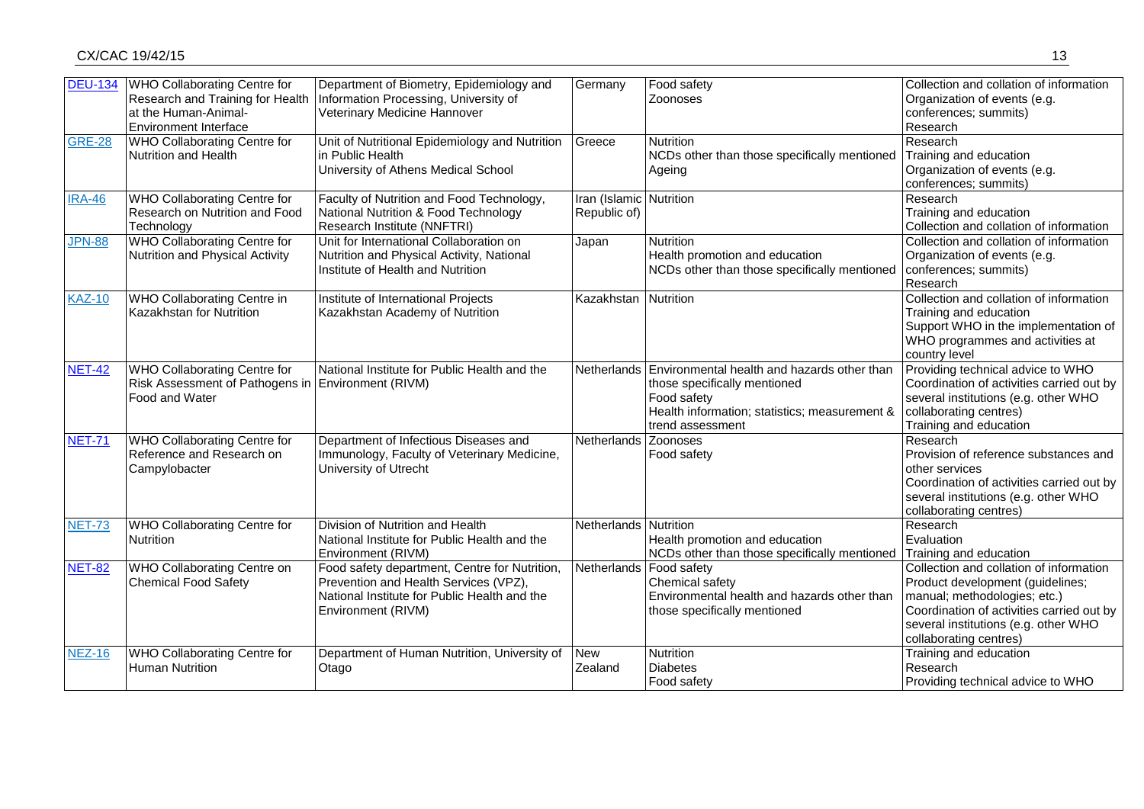| <b>DEU-134</b> | <b>WHO Collaborating Centre for</b>                | Department of Biometry, Epidemiology and                                 | Germany                 | Food safety                                                         | Collection and collation of information   |
|----------------|----------------------------------------------------|--------------------------------------------------------------------------|-------------------------|---------------------------------------------------------------------|-------------------------------------------|
|                |                                                    | Research and Training for Health   Information Processing, University of |                         | Zoonoses                                                            | Organization of events (e.g.              |
|                | at the Human-Animal-                               | Veterinary Medicine Hannover                                             |                         |                                                                     | conferences; summits)                     |
|                | <b>Environment Interface</b>                       |                                                                          |                         |                                                                     | Research                                  |
| <b>GRE-28</b>  | WHO Collaborating Centre for                       | Unit of Nutritional Epidemiology and Nutrition                           | Greece                  | <b>Nutrition</b>                                                    | Research                                  |
|                | Nutrition and Health                               | in Public Health                                                         |                         | NCDs other than those specifically mentioned                        | Training and education                    |
|                |                                                    | University of Athens Medical School                                      |                         | Ageing                                                              | Organization of events (e.g.              |
|                |                                                    |                                                                          |                         |                                                                     | conferences; summits)                     |
| <b>IRA-46</b>  | <b>WHO Collaborating Centre for</b>                | Faculty of Nutrition and Food Technology,                                | Iran (Islamic Nutrition |                                                                     | Research                                  |
|                | Research on Nutrition and Food                     | National Nutrition & Food Technology                                     | Republic of)            |                                                                     | Training and education                    |
|                | Technology                                         | Research Institute (NNFTRI)                                              |                         |                                                                     | Collection and collation of information   |
| <b>JPN-88</b>  | <b>WHO Collaborating Centre for</b>                | Unit for International Collaboration on                                  | Japan                   | Nutrition                                                           | Collection and collation of information   |
|                | Nutrition and Physical Activity                    | Nutrition and Physical Activity, National                                |                         | Health promotion and education                                      | Organization of events (e.g.              |
|                |                                                    | Institute of Health and Nutrition                                        |                         | NCDs other than those specifically mentioned                        | conferences; summits)                     |
|                |                                                    |                                                                          |                         |                                                                     | Research                                  |
| <b>KAZ-10</b>  | WHO Collaborating Centre in                        | Institute of International Projects                                      | Kazakhstan              | Nutrition                                                           | Collection and collation of information   |
|                | Kazakhstan for Nutrition                           | Kazakhstan Academy of Nutrition                                          |                         |                                                                     | Training and education                    |
|                |                                                    |                                                                          |                         |                                                                     | Support WHO in the implementation of      |
|                |                                                    |                                                                          |                         |                                                                     | WHO programmes and activities at          |
|                |                                                    |                                                                          |                         |                                                                     | country level                             |
| <b>NET-42</b>  | WHO Collaborating Centre for                       | National Institute for Public Health and the                             |                         | Netherlands Environmental health and hazards other than             | Providing technical advice to WHO         |
|                | Risk Assessment of Pathogens in Environment (RIVM) |                                                                          |                         | those specifically mentioned                                        | Coordination of activities carried out by |
|                | Food and Water                                     |                                                                          |                         | Food safety                                                         | several institutions (e.g. other WHO      |
|                |                                                    |                                                                          |                         | Health information; statistics; measurement &                       | collaborating centres)                    |
|                |                                                    |                                                                          |                         | trend assessment                                                    | Training and education                    |
| <b>NET-71</b>  | WHO Collaborating Centre for                       | Department of Infectious Diseases and                                    | <b>Netherlands</b>      | Zoonoses                                                            | Research                                  |
|                | Reference and Research on                          | Immunology, Faculty of Veterinary Medicine,                              |                         | Food safety                                                         | Provision of reference substances and     |
|                | Campylobacter                                      | University of Utrecht                                                    |                         |                                                                     | other services                            |
|                |                                                    |                                                                          |                         |                                                                     | Coordination of activities carried out by |
|                |                                                    |                                                                          |                         |                                                                     | several institutions (e.g. other WHO      |
|                |                                                    |                                                                          |                         |                                                                     | collaborating centres)                    |
| <b>NET-73</b>  | <b>WHO Collaborating Centre for</b>                | Division of Nutrition and Health                                         | Netherlands Nutrition   |                                                                     | Research                                  |
|                | <b>Nutrition</b>                                   | National Institute for Public Health and the                             |                         | Health promotion and education                                      | Evaluation                                |
|                |                                                    | Environment (RIVM)                                                       |                         | NCDs other than those specifically mentioned Training and education |                                           |
| <b>NET-82</b>  | WHO Collaborating Centre on                        | Food safety department, Centre for Nutrition,                            |                         | Netherlands   Food safety                                           | Collection and collation of information   |
|                | <b>Chemical Food Safety</b>                        | Prevention and Health Services (VPZ),                                    |                         | Chemical safety                                                     | Product development (guidelines;          |
|                |                                                    | National Institute for Public Health and the                             |                         | Environmental health and hazards other than                         | manual; methodologies; etc.)              |
|                |                                                    | Environment (RIVM)                                                       |                         | those specifically mentioned                                        | Coordination of activities carried out by |
|                |                                                    |                                                                          |                         |                                                                     | several institutions (e.g. other WHO      |
|                |                                                    |                                                                          |                         |                                                                     | collaborating centres)                    |
| <b>NEZ-16</b>  | WHO Collaborating Centre for                       | Department of Human Nutrition, University of                             | <b>New</b>              | Nutrition                                                           | Training and education                    |
|                | <b>Human Nutrition</b>                             | Otago                                                                    | Zealand                 | <b>Diabetes</b>                                                     | Research                                  |
|                |                                                    |                                                                          |                         | Food safety                                                         | Providing technical advice to WHO         |
|                |                                                    |                                                                          |                         |                                                                     |                                           |